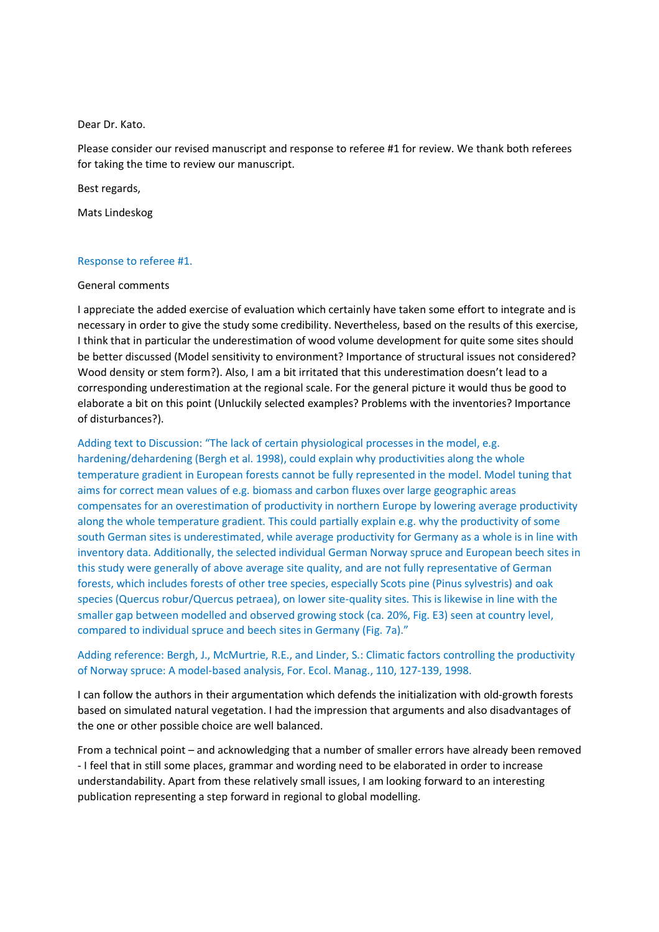Dear Dr. Kato.

Please consider our revised manuscript and response to referee #1 for review. We thank both referees for taking the time to review our manuscript.

Best regards,

Mats Lindeskog

## Response to referee #1.

## General comments

I appreciate the added exercise of evaluation which certainly have taken some effort to integrate and is necessary in order to give the study some credibility. Nevertheless, based on the results of this exercise, I think that in particular the underestimation of wood volume development for quite some sites should be better discussed (Model sensitivity to environment? Importance of structural issues not considered? Wood density or stem form?). Also, I am a bit irritated that this underestimation doesn't lead to a corresponding underestimation at the regional scale. For the general picture it would thus be good to elaborate a bit on this point (Unluckily selected examples? Problems with the inventories? Importance of disturbances?).

Adding text to Discussion: "The lack of certain physiological processes in the model, e.g. hardening/dehardening (Bergh et al. 1998), could explain why productivities along the whole temperature gradient in European forests cannot be fully represented in the model. Model tuning that aims for correct mean values of e.g. biomass and carbon fluxes over large geographic areas compensates for an overestimation of productivity in northern Europe by lowering average productivity along the whole temperature gradient. This could partially explain e.g. why the productivity of some south German sites is underestimated, while average productivity for Germany as a whole is in line with inventory data. Additionally, the selected individual German Norway spruce and European beech sites in this study were generally of above average site quality, and are not fully representative of German forests, which includes forests of other tree species, especially Scots pine (Pinus sylvestris) and oak species (Quercus robur/Quercus petraea), on lower site-quality sites. This is likewise in line with the smaller gap between modelled and observed growing stock (ca. 20%, Fig. E3) seen at country level, compared to individual spruce and beech sites in Germany (Fig. 7a)."

## Adding reference: Bergh, J., McMurtrie, R.E., and Linder, S.: Climatic factors controlling the productivity of Norway spruce: A model-based analysis, For. Ecol. Manag., 110, 127-139, 1998.

I can follow the authors in their argumentation which defends the initialization with old-growth forests based on simulated natural vegetation. I had the impression that arguments and also disadvantages of the one or other possible choice are well balanced.

From a technical point – and acknowledging that a number of smaller errors have already been removed - I feel that in still some places, grammar and wording need to be elaborated in order to increase understandability. Apart from these relatively small issues, I am looking forward to an interesting publication representing a step forward in regional to global modelling.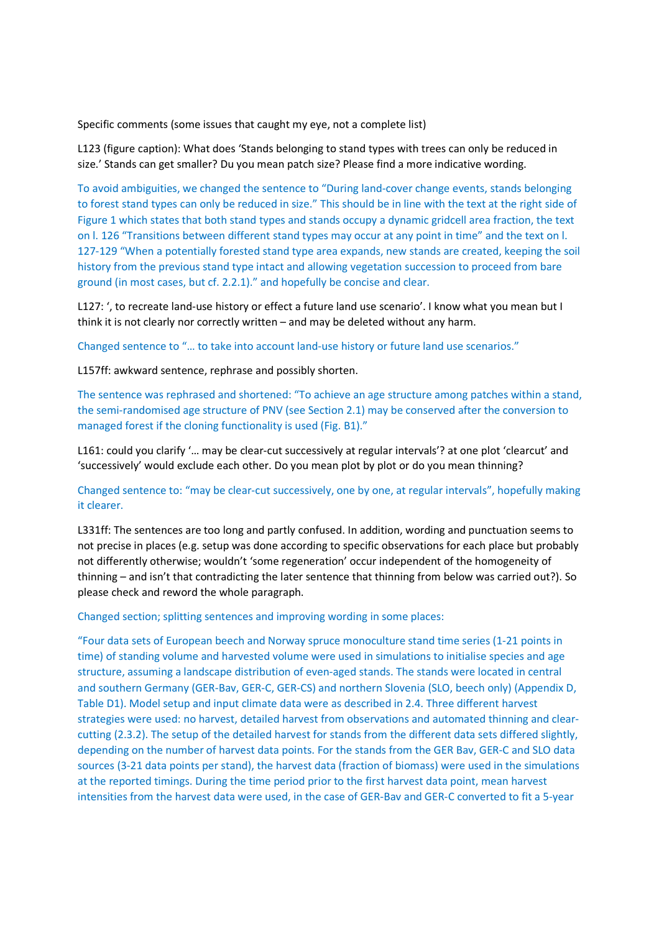Specific comments (some issues that caught my eye, not a complete list)

L123 (figure caption): What does 'Stands belonging to stand types with trees can only be reduced in size.' Stands can get smaller? Du you mean patch size? Please find a more indicative wording.

To avoid ambiguities, we changed the sentence to "During land-cover change events, stands belonging to forest stand types can only be reduced in size." This should be in line with the text at the right side of Figure 1 which states that both stand types and stands occupy a dynamic gridcell area fraction, the text on l. 126 "Transitions between different stand types may occur at any point in time" and the text on l. 127-129 "When a potentially forested stand type area expands, new stands are created, keeping the soil history from the previous stand type intact and allowing vegetation succession to proceed from bare ground (in most cases, but cf. 2.2.1)." and hopefully be concise and clear.

L127: ', to recreate land-use history or effect a future land use scenario'. I know what you mean but I think it is not clearly nor correctly written – and may be deleted without any harm.

Changed sentence to "… to take into account land-use history or future land use scenarios."

L157ff: awkward sentence, rephrase and possibly shorten.

The sentence was rephrased and shortened: "To achieve an age structure among patches within a stand, the semi-randomised age structure of PNV (see Section 2.1) may be conserved after the conversion to managed forest if the cloning functionality is used (Fig. B1)."

L161: could you clarify '… may be clear-cut successively at regular intervals'? at one plot 'clearcut' and 'successively' would exclude each other. Do you mean plot by plot or do you mean thinning?

Changed sentence to: "may be clear-cut successively, one by one, at regular intervals", hopefully making it clearer.

L331ff: The sentences are too long and partly confused. In addition, wording and punctuation seems to not precise in places (e.g. setup was done according to specific observations for each place but probably not differently otherwise; wouldn't 'some regeneration' occur independent of the homogeneity of thinning – and isn't that contradicting the later sentence that thinning from below was carried out?). So please check and reword the whole paragraph.

Changed section; splitting sentences and improving wording in some places:

"Four data sets of European beech and Norway spruce monoculture stand time series (1-21 points in time) of standing volume and harvested volume were used in simulations to initialise species and age structure, assuming a landscape distribution of even-aged stands. The stands were located in central and southern Germany (GER-Bav, GER-C, GER-CS) and northern Slovenia (SLO, beech only) (Appendix D, Table D1). Model setup and input climate data were as described in 2.4. Three different harvest strategies were used: no harvest, detailed harvest from observations and automated thinning and clearcutting (2.3.2). The setup of the detailed harvest for stands from the different data sets differed slightly, depending on the number of harvest data points. For the stands from the GER Bav, GER-C and SLO data sources (3-21 data points per stand), the harvest data (fraction of biomass) were used in the simulations at the reported timings. During the time period prior to the first harvest data point, mean harvest intensities from the harvest data were used, in the case of GER-Bav and GER-C converted to fit a 5-year